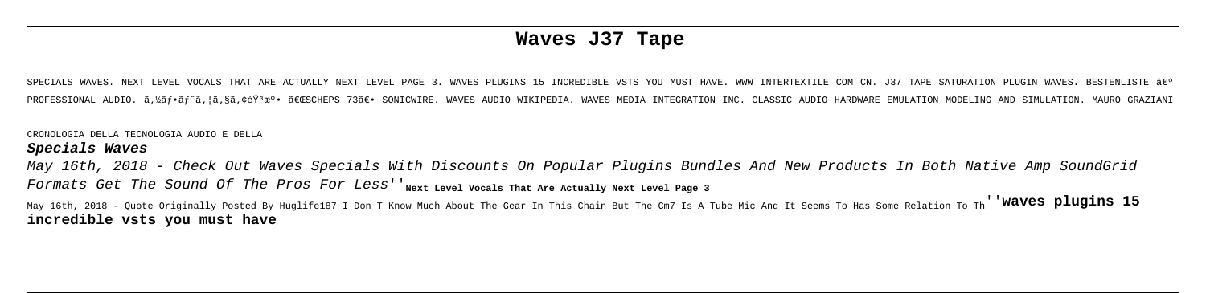# **Waves J37 Tape**

NAVES. NEXT LEVEL VOCALS THAT ARE ACTUALLY NEXT LEVEL PAGE 3. WAVES PLUGINS 15 INCREDIBLE VSTS YOU MUST HAVE. WWW INTERTEXTLE COM CN. J37 TAPE SATURATION PLUGIN WAVES. BESTENLISTE ÂE? PROFESSIONAL AUDIO. ã,½ãf•ãf^ã,¦ã,§ã,¢éŸaeº• 「SCHEPS 73〕 SONICWIRE. WAVES AUDIO WIKIPEDIA. WAVES MEDIA INTEGRATION INC. CLASSIC AUDIO HARDWARE EMULATION MODELING AND SIMULATION. MAURO GRAZIANI

May 16th, 2018 - Check Out Waves Specials With Discounts On Popular Plugins Bundles And New Products In Both Native Amp SoundGrid Formats Get The Sound Of The Pros For Less' 'Next Level Vocals That Are Actually Next Level Page 3

CRONOLOGIA DELLA TECNOLOGIA AUDIO E DELLA

### **Specials Waves**

May 16th, 2018 - Quote Originally Posted By Huglife187 I Don T Know Much About The Gear In This Chain But The Cm7 Is A Tube Mic And It Seems To Has Some Relation To Th''**waves plugins 15 incredible vsts you must have**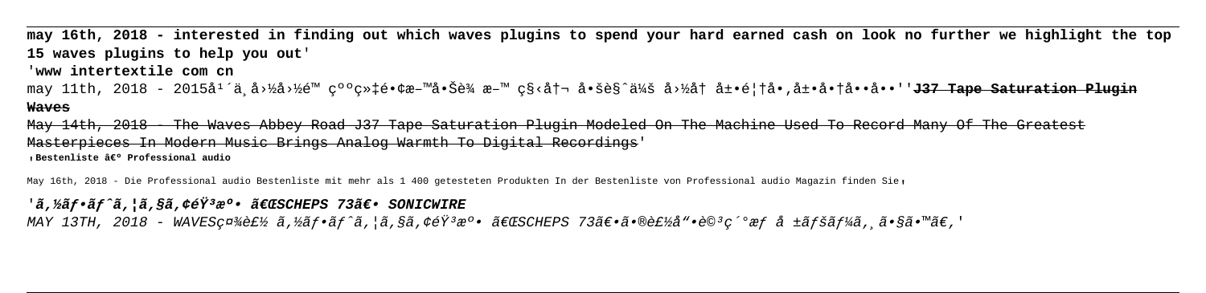**may 16th, 2018 - interested in finding out which waves plugins to spend your hard earned cash on look no further we highlight the top 15 waves plugins to help you out**' '**www intertextile com cn** may 11th, 2018 - 2015å<sup>1</sup>´ä¸å›½å›½é™ 纺织镢料啊è¾ æ–™ ç§<冬 啚è§^会 国å† å±•é¦†å•,展商å••å••''**J37 Tape Saturation Plugin Waves** May 14th, 2018 - The Waves Abbey Road J37 Tape Saturation Plugin Modeled On The Machine Used To Record Many Of The Greatest Masterpieces In Modern Music Brings Analog Warmth To Digital Recordings'

<sub>'</sub>Bestenliste › Professional audio

May 16th, 2018 - Die Professional audio Bestenliste mit mehr als 1 400 getesteten Produkten In der Bestenliste von Professional audio Magazin finden Sie,

# 'ã.½ãf•ãf^ã.¦ã.§ã.¢éŸ<sup>3</sup>溕 「SCHEPS 73〕 SONICWIRE

MAY 13TH, 2018 - WAVES社製 ã,½ãf•ãf^ã,¦ã,§ã,¢éŸ3æ°• 「SCHEPS 73〕㕮製å"•è©3c´°æf å ±ãfšãf¼ã, ã•§ã•™ã€,'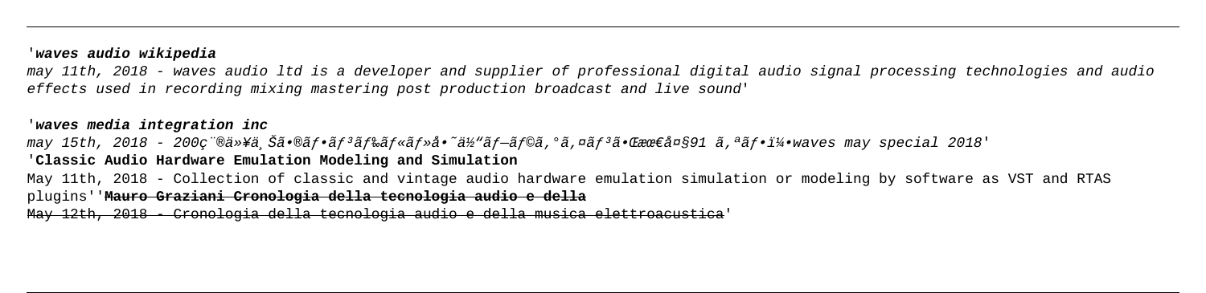## '**waves audio wikipedia**

may 11th, 2018 - waves audio ltd is a developer and supplier of professional digital audio signal processing technologies and audio effects used in recording mixing mastering post production broadcast and live sound'

may 15th, 2018 - 200c"®ä»¥ä Šã•®ãf•ãf3ãf‰ãf«ãf»å•~ä½"ãf—ãf©ã,°ã,¤ãf3㕌ææ€å¤§91 ã,ªãf•5waves may special 2018' '**Classic Audio Hardware Emulation Modeling and Simulation**

### '**waves media integration inc**

May 11th, 2018 - Collection of classic and vintage audio hardware emulation simulation or modeling by software as VST and RTAS plugins''**Mauro Graziani Cronologia della tecnologia audio e della**

May 12th, 2018 - Cronologia della tecnologia audio e della musica elettroacustica'